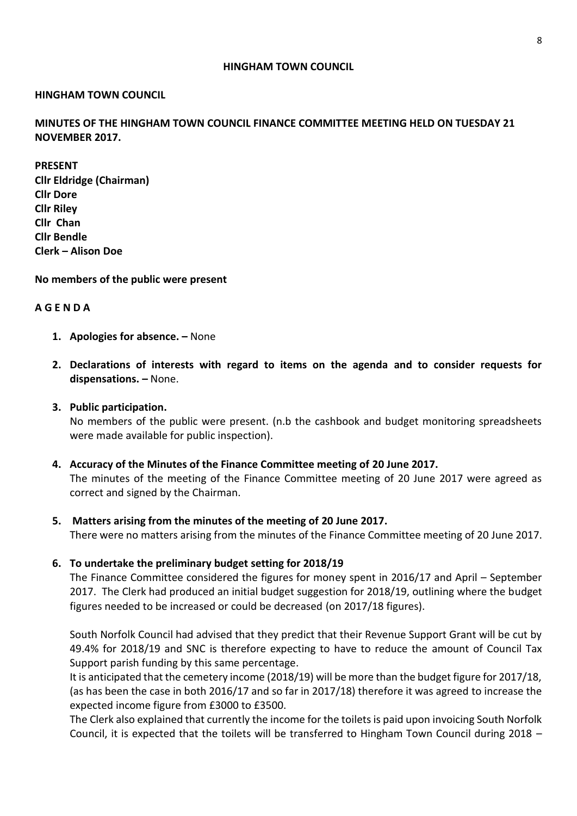### **HINGHAM TOWN COUNCIL**

### **HINGHAM TOWN COUNCIL**

**MINUTES OF THE HINGHAM TOWN COUNCIL FINANCE COMMITTEE MEETING HELD ON TUESDAY 21 NOVEMBER 2017.** 

**PRESENT Cllr Eldridge (Chairman) Cllr Dore Cllr Riley Cllr Chan Cllr Bendle Clerk – Alison Doe**

**No members of the public were present**

### **A G E N D A**

- **1. Apologies for absence. –** None
- **2. Declarations of interests with regard to items on the agenda and to consider requests for dispensations. –** None.

### **3. Public participation.**

No members of the public were present. (n.b the cashbook and budget monitoring spreadsheets were made available for public inspection).

## **4. Accuracy of the Minutes of the Finance Committee meeting of 20 June 2017.**

The minutes of the meeting of the Finance Committee meeting of 20 June 2017 were agreed as correct and signed by the Chairman.

## **5. Matters arising from the minutes of the meeting of 20 June 2017.**

There were no matters arising from the minutes of the Finance Committee meeting of 20 June 2017.

## **6. To undertake the preliminary budget setting for 2018/19**

The Finance Committee considered the figures for money spent in 2016/17 and April – September 2017. The Clerk had produced an initial budget suggestion for 2018/19, outlining where the budget figures needed to be increased or could be decreased (on 2017/18 figures).

South Norfolk Council had advised that they predict that their Revenue Support Grant will be cut by 49.4% for 2018/19 and SNC is therefore expecting to have to reduce the amount of Council Tax Support parish funding by this same percentage.

It is anticipated that the cemetery income (2018/19) will be more than the budget figure for 2017/18, (as has been the case in both 2016/17 and so far in 2017/18) therefore it was agreed to increase the expected income figure from £3000 to £3500.

The Clerk also explained that currently the income for the toilets is paid upon invoicing South Norfolk Council, it is expected that the toilets will be transferred to Hingham Town Council during 2018 –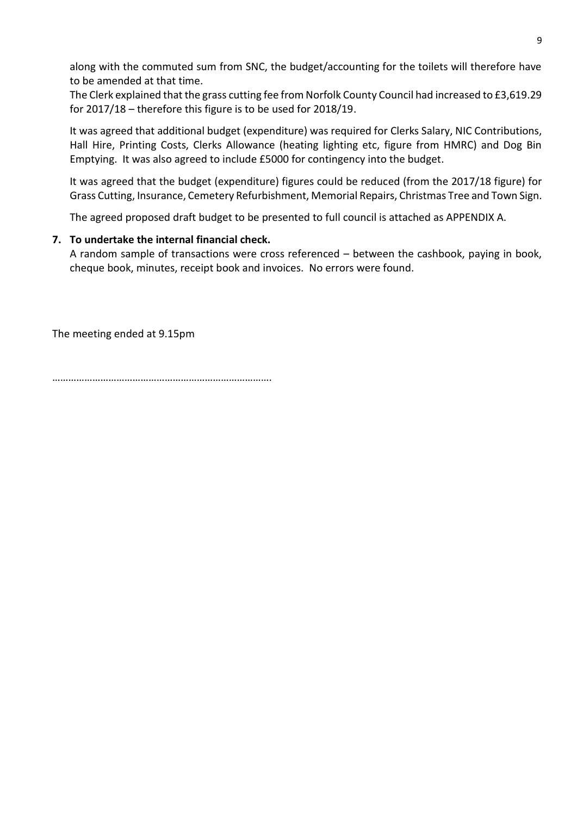along with the commuted sum from SNC, the budget/accounting for the toilets will therefore have to be amended at that time.

The Clerk explained that the grass cutting fee from Norfolk County Council had increased to £3,619.29 for 2017/18 – therefore this figure is to be used for 2018/19.

It was agreed that additional budget (expenditure) was required for Clerks Salary, NIC Contributions, Hall Hire, Printing Costs, Clerks Allowance (heating lighting etc, figure from HMRC) and Dog Bin Emptying. It was also agreed to include £5000 for contingency into the budget.

It was agreed that the budget (expenditure) figures could be reduced (from the 2017/18 figure) for Grass Cutting, Insurance, Cemetery Refurbishment, Memorial Repairs, Christmas Tree and Town Sign.

The agreed proposed draft budget to be presented to full council is attached as APPENDIX A.

# **7. To undertake the internal financial check.**

A random sample of transactions were cross referenced – between the cashbook, paying in book, cheque book, minutes, receipt book and invoices. No errors were found.

The meeting ended at 9.15pm

……………………………………………………………………….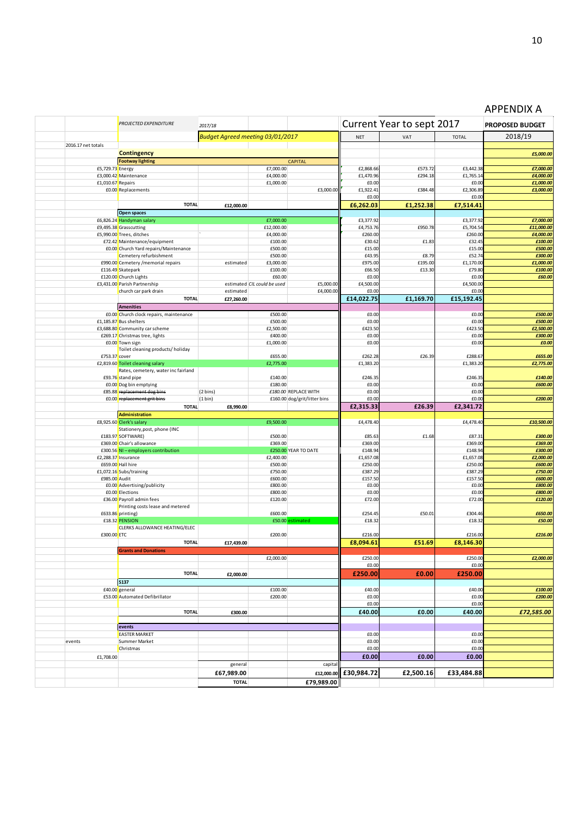|                    | <b>PROJECTED EXPENDITURE</b>                                  | 2017/18                          |                             |                              |                       | Current Year to sept 2017 |                     | <b>PROPOSED BUDGET</b> |
|--------------------|---------------------------------------------------------------|----------------------------------|-----------------------------|------------------------------|-----------------------|---------------------------|---------------------|------------------------|
|                    |                                                               | Budget Agreed meeting 03/01/2017 |                             |                              | <b>NET</b>            | VAT                       | <b>TOTAL</b>        | 2018/19                |
| 2016.17 net totals |                                                               |                                  |                             |                              |                       |                           |                     |                        |
|                    | <b>Contingency</b>                                            |                                  |                             |                              |                       |                           |                     | £5,000.00              |
| £5,729.73 Energy   | <b>Footway lighting</b>                                       |                                  | £7,000.00                   | <b>CAPITAL</b>               | £2,868.66             | £573.72                   | £3,442.38           | £7,000.00              |
|                    | £3,000.42 Maintenance                                         |                                  | £4,000.00                   |                              | £1,470.96             | £294.18                   | £1,765.14           | £4,000.00              |
| £1,010.67 Repairs  |                                                               |                                  | £1,000.00                   |                              | £0.00                 |                           | £0.00               | £1,000.00              |
|                    | £0.00 Replacements                                            |                                  |                             | £3,000.00                    | £1,922.41             | £384.48                   | £2,306.89           | £3,000.00              |
|                    |                                                               |                                  |                             |                              | £0.00                 |                           | £0.00               |                        |
|                    | <b>TOTAL</b>                                                  | £12,000.00                       |                             |                              | £6,262.03             | £1,252.38                 | £7,514.41           |                        |
|                    | <b>Open spaces</b><br>£6,826.24 Handyman salary               |                                  | £7,000.00                   |                              | £3,377.92             |                           | £3,377.92           | £7,000.00              |
|                    | £9,495.38 Grasscutting                                        |                                  | £12,000.00                  |                              | £4,753.76             | £950.78                   | £5,704.54           | £11,000.00             |
|                    | £5,990.00 Trees, ditches                                      |                                  | £4,000.00                   |                              | £260.00               |                           | £260.00             | £4,000.00              |
|                    | £72.42 Maintenance/equipment                                  |                                  | £100.00                     |                              | £30.62                | £1.83                     | £32.45              | £100.00                |
|                    | £0.00 Church Yard repairs/Maintenance                         |                                  | £500.00                     |                              | £15.00                |                           | £15.00              | £500.00                |
|                    | Cemetery refurbishment<br>£990.00 Cemetery / memorial repairs | estimated                        | £500.00<br>£3,000.00        |                              | £43.95<br>£975.00     | £8.79<br>£195.00          | £52.74<br>£1,170.00 | £300.00<br>£1,000.00   |
|                    | £116.49 Skatepark                                             |                                  | £100.00                     |                              | £66.50                | £13.30                    | £79.80              | £100.00                |
|                    | £120.00 Church Lights                                         |                                  | £60.00                      |                              | £0.00                 |                           | £0.00               | £60.00                 |
|                    | £3,431.00 Parish Partnership                                  |                                  | estimated CIL could be used | £5,000.00                    | £4,500.00             |                           | £4,500.00           |                        |
|                    | church car park drain<br><b>TOTAL</b>                         | estimated                        |                             | £4,000.00                    | £0.00                 |                           | £0.00               |                        |
|                    | <b>Amenities</b>                                              | £27,260.00                       |                             |                              | £14,022.75            | £1,169.70                 | £15,192.45          |                        |
|                    | £0.00 Church clock repairs, maintenance                       |                                  | £500.00                     |                              | £0.00                 |                           | £0.00               | £500.00                |
|                    | £1,185.87 Bus shelters                                        |                                  | £500.00                     |                              | £0.00                 |                           | £0.00               | £500.00                |
|                    | £3,688.80 Community car scheme                                |                                  | £2,500.00                   |                              | £423.50               |                           | £423.50             | £2,500.00              |
|                    | £269.17 Christmas tree, lights                                |                                  | £400.00                     |                              | £0.00                 |                           | £0.00               | £300.00                |
|                    | £0.00 Town sign<br>Toilet cleaning products/ holiday          |                                  | £1,000.00                   |                              | £0.00                 |                           | £0.00               | £0.00                  |
| £753.37 cover      |                                                               |                                  | £655.00                     |                              | £262.28               | £26.39                    | £288.67             | £655.00                |
|                    | £2,819.60 Toilet cleaning salary                              |                                  | £2,775.00                   |                              | £1,383.20             |                           | £1,383.20           | £2,775.00              |
|                    | Rates, cemetery, water inc fairland                           |                                  |                             |                              |                       |                           |                     |                        |
|                    | £93.76 stand pipe                                             |                                  | £140.00<br>£180.00          |                              | £246.35<br>£0.00      |                           | £246.35<br>£0.00    | £140.00<br>£600.00     |
|                    | £0.00 Dog bin emptying<br>£85.88 replacement dog bins         | (2 bins)                         |                             | £180.00 REPLACE WITH         | £0.00                 |                           | £0.00               |                        |
|                    | £0.00 replacement grit bins                                   | (1 bin)                          |                             | £160.00 dog/grit/litter bins | £0.00                 |                           | £0.00               | £200.00                |
|                    | <b>TOTAL</b>                                                  | £8,990.00                        |                             |                              | £2,315.33             | £26.39                    | £2,341.72           |                        |
|                    | <b>Administration</b>                                         |                                  |                             |                              |                       |                           |                     |                        |
|                    | £8,925.60 Clerk's salary                                      |                                  | £9,500.00                   |                              | £4,478.40             |                           | £4,478.40           | £10,500.00             |
|                    | Stationery, post, phone (INC<br>£183.97 SOFTWARE)             |                                  | £500.00                     |                              | £85.63                | £1.68                     | £87.31              | £300.00                |
|                    | £369.00 Chair's allowance                                     |                                  | £369.00                     |                              | £369.00               |                           | £369.00             | £369.00                |
|                    | £300.56 NI - employers contribution                           |                                  |                             | £250.00 YEAR TO DATE         | £148.94               |                           | £148.94             | £300.00                |
|                    | £2,288.37 Insurance                                           |                                  | £2,400.00                   |                              | £1,657.08             |                           | £1,657.08           | £2,000.00              |
|                    | £659.00 Hall hire<br>£1,072.16 Subs/training                  |                                  | £500.00<br>£750.00          |                              | £250.00<br>£387.29    |                           | £250.00<br>£387.29  | £600.00<br>£750.00     |
| £985.00 Audit      |                                                               |                                  | £600.00                     |                              | £157.50               |                           | £157.50             | £600.00                |
|                    | £0.00 Advertising/publicity                                   |                                  | £800.00                     |                              | £0.00                 |                           | £0.00               | £800.00                |
|                    | £0.00 Elections                                               |                                  | £800.00                     |                              | £0.00                 |                           | £0.00               | £800.00                |
|                    | £36.00 Payroll admin fees<br>Printing costs lease and metered |                                  | £120.00                     |                              | £72.00                |                           | £72.00              | £120.00                |
|                    | £633.86 printing)                                             |                                  | £600.00                     |                              | £254.45               | £50.01                    | £304.46             | £650.00                |
|                    | £18.32 PENSION                                                |                                  |                             | £50.00 estimated             | £18.32                |                           | £18.32              | £50.00                 |
|                    | CLERKS ALLOWANCE HEATING/ELEC                                 |                                  |                             |                              |                       |                           |                     |                        |
| £300.00 ETC        |                                                               |                                  | £200.00                     |                              | £216.00               |                           | £216.00             | £216.00                |
|                    | <b>TOTAL</b><br><b>Grants and Donations</b>                   | £17.439.00                       |                             |                              | £8,094.61             | £51.69                    | £8,146.30           |                        |
|                    |                                                               |                                  | £2,000.00                   |                              | £250.00               |                           | £250.00             | £2,000.00              |
|                    |                                                               |                                  |                             |                              | £0.00                 |                           | £0.00               |                        |
|                    | <b>TOTAL</b>                                                  | £2,000.00                        |                             |                              | £250.00               | £0.00                     | £250.00             |                        |
|                    | <b>S137</b>                                                   |                                  |                             |                              |                       |                           |                     |                        |
|                    | £40.00 general                                                |                                  | £100.00                     |                              | £40.00                |                           | £40.00              | £100.00                |
|                    | £53.00 Automated Defibrillator                                |                                  | £200.00                     |                              | £0.00                 |                           | £0.00               | £200.00                |
|                    |                                                               |                                  |                             |                              | £0.00                 |                           | £0.00               |                        |
|                    | <b>TOTAL</b>                                                  | £300.00                          |                             |                              | £40.00                | £0.00                     | £40.00              | £72,585.00             |
|                    | events                                                        |                                  |                             |                              |                       |                           |                     |                        |
|                    | <b>EASTER MARKET</b>                                          |                                  |                             |                              | £0.00                 |                           | £0.00               |                        |
| events             | Summer Market                                                 |                                  |                             |                              | £0.00                 |                           | £0.00               |                        |
|                    |                                                               |                                  |                             |                              |                       |                           | £0.00               |                        |
|                    | Christmas                                                     |                                  |                             |                              | £0.00                 |                           |                     |                        |
| £1,708.00          |                                                               |                                  |                             |                              | £0.00                 | £0.00                     | £0.00               |                        |
|                    |                                                               | general                          |                             | capital                      |                       |                           |                     |                        |
|                    |                                                               | £67,989.00<br><b>TOTAL</b>       |                             | £79,989.00                   | £12,000.00 £30,984.72 | £2,500.16                 | £33,484.88          |                        |